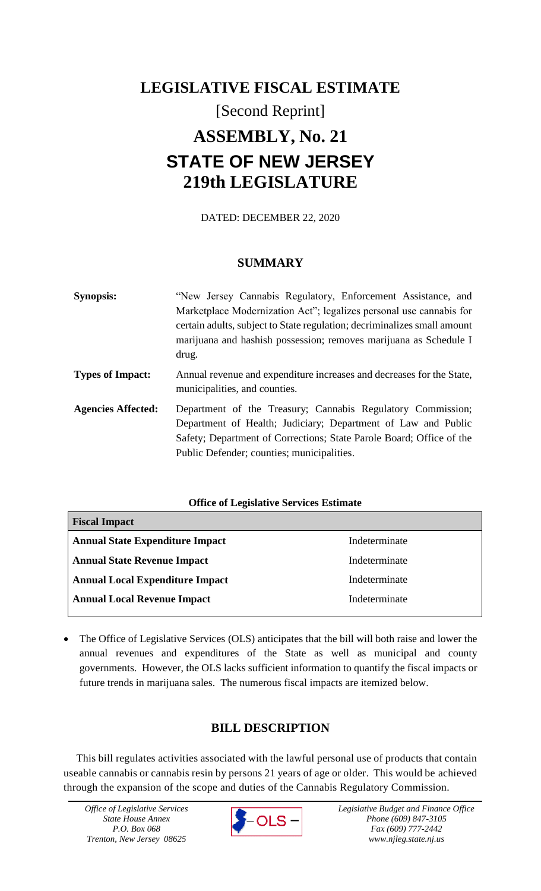# **LEGISLATIVE FISCAL ESTIMATE** [Second Reprint] **ASSEMBLY, No. 21 STATE OF NEW JERSEY 219th LEGISLATURE**

DATED: DECEMBER 22, 2020

### **SUMMARY**

| <b>Synopsis:</b>          | "New Jersey Cannabis Regulatory, Enforcement Assistance, and                                                                                                                                                                                       |
|---------------------------|----------------------------------------------------------------------------------------------------------------------------------------------------------------------------------------------------------------------------------------------------|
|                           | Marketplace Modernization Act"; legalizes personal use cannabis for                                                                                                                                                                                |
|                           | certain adults, subject to State regulation; decriminalizes small amount<br>marijuana and hashish possession; removes marijuana as Schedule I<br>drug.                                                                                             |
| <b>Types of Impact:</b>   | Annual revenue and expenditure increases and decreases for the State,<br>municipalities, and counties.                                                                                                                                             |
| <b>Agencies Affected:</b> | Department of the Treasury; Cannabis Regulatory Commission;<br>Department of Health; Judiciary; Department of Law and Public<br>Safety; Department of Corrections; State Parole Board; Office of the<br>Public Defender; counties; municipalities. |

### **Office of Legislative Services Estimate**

| <b>Fiscal Impact</b>                   |               |  |
|----------------------------------------|---------------|--|
| <b>Annual State Expenditure Impact</b> | Indeterminate |  |
| <b>Annual State Revenue Impact</b>     | Indeterminate |  |
| <b>Annual Local Expenditure Impact</b> | Indeterminate |  |
| <b>Annual Local Revenue Impact</b>     | Indeterminate |  |

 The Office of Legislative Services (OLS) anticipates that the bill will both raise and lower the annual revenues and expenditures of the State as well as municipal and county governments. However, the OLS lacks sufficient information to quantify the fiscal impacts or future trends in marijuana sales. The numerous fiscal impacts are itemized below.

## **BILL DESCRIPTION**

This bill regulates activities associated with the lawful personal use of products that contain useable cannabis or cannabis resin by persons 21 years of age or older. This would be achieved through the expansion of the scope and duties of the Cannabis Regulatory Commission.

*Office of Legislative Services State House Annex P.O. Box 068 Trenton, New Jersey 08625*



*Legislative Budget and Finance Office Phone (609) 847-3105 Fax (609) 777-2442 www.njleg.state.nj.us*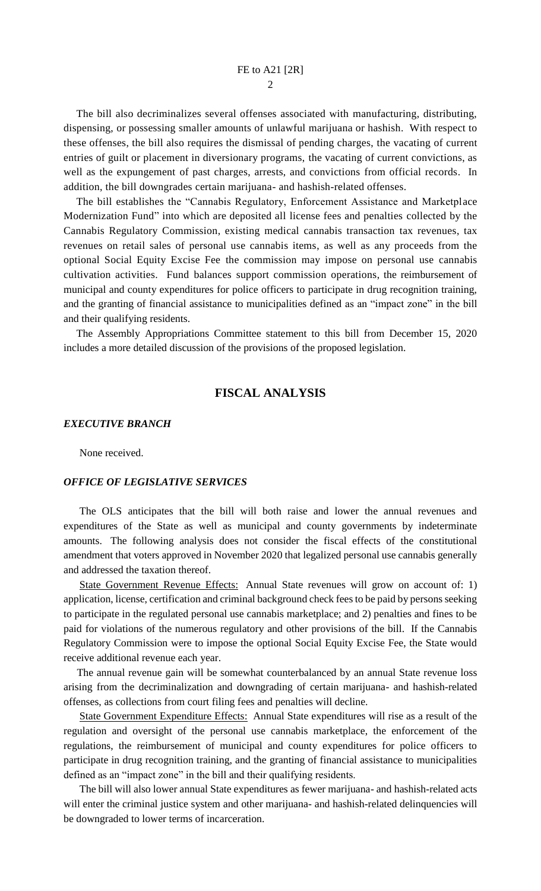The bill also decriminalizes several offenses associated with manufacturing, distributing, dispensing, or possessing smaller amounts of unlawful marijuana or hashish. With respect to these offenses, the bill also requires the dismissal of pending charges, the vacating of current entries of guilt or placement in diversionary programs, the vacating of current convictions, as well as the expungement of past charges, arrests, and convictions from official records. In addition, the bill downgrades certain marijuana- and hashish-related offenses.

The bill establishes the "Cannabis Regulatory, Enforcement Assistance and Marketplace Modernization Fund" into which are deposited all license fees and penalties collected by the Cannabis Regulatory Commission, existing medical cannabis transaction tax revenues, tax revenues on retail sales of personal use cannabis items, as well as any proceeds from the optional Social Equity Excise Fee the commission may impose on personal use cannabis cultivation activities. Fund balances support commission operations, the reimbursement of municipal and county expenditures for police officers to participate in drug recognition training, and the granting of financial assistance to municipalities defined as an "impact zone" in the bill and their qualifying residents.

The Assembly Appropriations Committee statement to this bill from December 15, 2020 includes a more detailed discussion of the provisions of the proposed legislation.

### **FISCAL ANALYSIS**

#### *EXECUTIVE BRANCH*

None received.

### *OFFICE OF LEGISLATIVE SERVICES*

The OLS anticipates that the bill will both raise and lower the annual revenues and expenditures of the State as well as municipal and county governments by indeterminate amounts. The following analysis does not consider the fiscal effects of the constitutional amendment that voters approved in November 2020 that legalized personal use cannabis generally and addressed the taxation thereof.

State Government Revenue Effects: Annual State revenues will grow on account of: 1) application, license, certification and criminal background check fees to be paid by persons seeking to participate in the regulated personal use cannabis marketplace; and 2) penalties and fines to be paid for violations of the numerous regulatory and other provisions of the bill. If the Cannabis Regulatory Commission were to impose the optional Social Equity Excise Fee, the State would receive additional revenue each year.

 The annual revenue gain will be somewhat counterbalanced by an annual State revenue loss arising from the decriminalization and downgrading of certain marijuana- and hashish-related offenses, as collections from court filing fees and penalties will decline.

State Government Expenditure Effects: Annual State expenditures will rise as a result of the regulation and oversight of the personal use cannabis marketplace, the enforcement of the regulations, the reimbursement of municipal and county expenditures for police officers to participate in drug recognition training, and the granting of financial assistance to municipalities defined as an "impact zone" in the bill and their qualifying residents.

The bill will also lower annual State expenditures as fewer marijuana- and hashish-related acts will enter the criminal justice system and other marijuana- and hashish-related delinquencies will be downgraded to lower terms of incarceration.